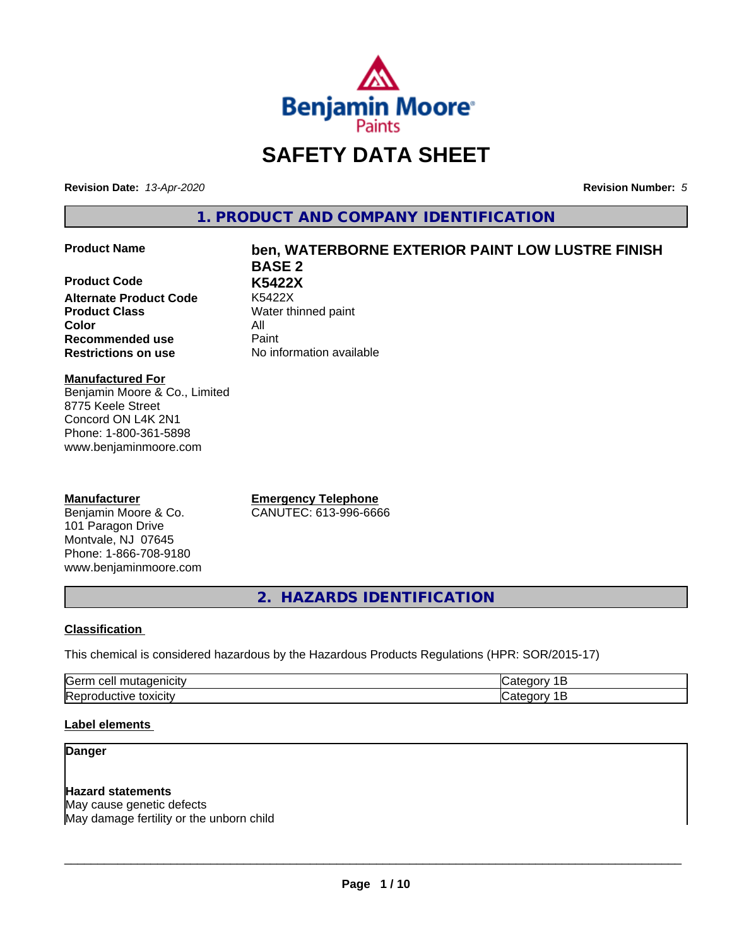

# **SAFETY DATA SHEET**

**Revision Date:** *13-Apr-2020* **Revision Number:** *5*

**1. PRODUCT AND COMPANY IDENTIFICATION**

### **Product Name ben, WATERBORNE EXTERIOR PAINT LOW LUSTRE FINISH**

**Product Code K5422X Alternate Product Code Product Class** Water thinned paint **Color** All **Recommended use** Paint **Restrictions on use** No information available

**BASE 2**

### **Manufactured For** Benjamin Moore & Co., Limited 8775 Keele Street

Concord ON L4K 2N1 Phone: 1-800-361-5898 www.benjaminmoore.com

### **Manufacturer**

Benjamin Moore & Co. 101 Paragon Drive Montvale, NJ 07645 Phone: 1-866-708-9180 www.benjaminmoore.com

**Emergency Telephone** CANUTEC: 613-996-6666

**2. HAZARDS IDENTIFICATION**

### **Classification**

This chemical is considered hazardous by the Hazardous Products Regulations (HPR: SOR/2015-17)

| lGerm<br>ell≘<br>  |  |
|--------------------|--|
| toxicity<br>ICTIVE |  |

### **Label elements**

### **Danger**

### **Hazard statements**

May cause genetic defects May damage fertility or the unborn child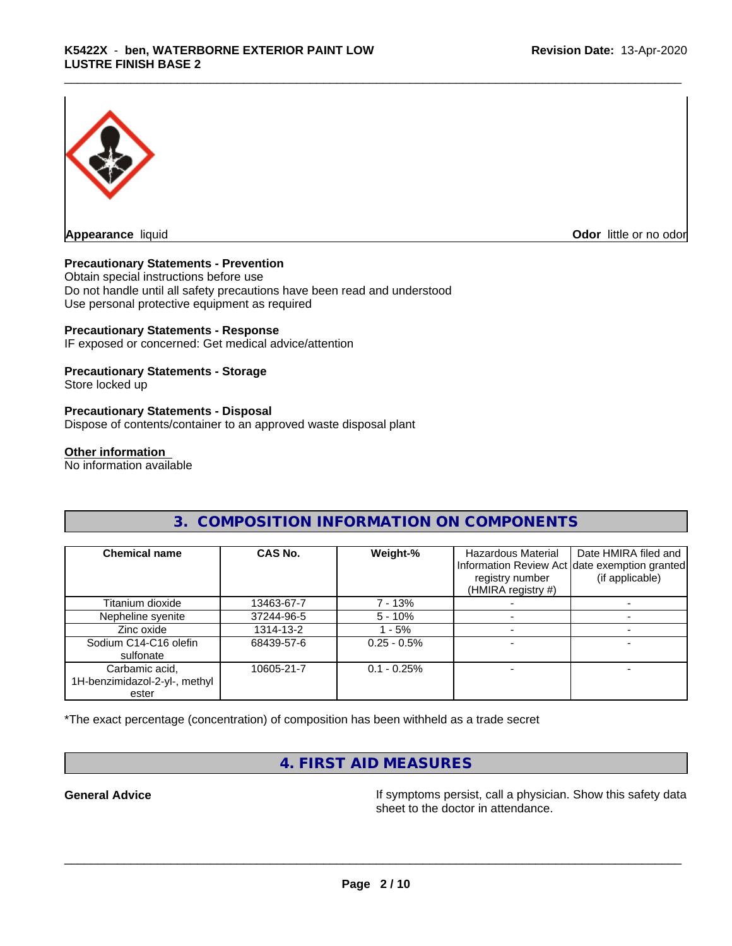

**Odor** little or no odor

### **Precautionary Statements - Prevention**

Obtain special instructions before use Do not handle until all safety precautions have been read and understood Use personal protective equipment as required

### **Precautionary Statements - Response**

IF exposed or concerned: Get medical advice/attention

### **Precautionary Statements - Storage**

Store locked up

### **Precautionary Statements - Disposal**

Dispose of contents/container to an approved waste disposal plant

### **Other information**

No information available

### **3. COMPOSITION INFORMATION ON COMPONENTS**

| <b>Chemical name</b>                                     | CAS No.    | Weight-%      | <b>Hazardous Material</b><br>registry number<br>(HMIRA registry #) | Date HMIRA filed and<br>Information Review Act date exemption granted<br>(if applicable) |
|----------------------------------------------------------|------------|---------------|--------------------------------------------------------------------|------------------------------------------------------------------------------------------|
| Titanium dioxide                                         | 13463-67-7 | 7 - 13%       |                                                                    |                                                                                          |
| Nepheline syenite                                        | 37244-96-5 | $5 - 10\%$    |                                                                    |                                                                                          |
| Zinc oxide                                               | 1314-13-2  | $-5%$         |                                                                    |                                                                                          |
| Sodium C14-C16 olefin<br>sulfonate                       | 68439-57-6 | $0.25 - 0.5%$ |                                                                    |                                                                                          |
| Carbamic acid,<br>1H-benzimidazol-2-yl-, methyl<br>ester | 10605-21-7 | $0.1 - 0.25%$ |                                                                    |                                                                                          |

\*The exact percentage (concentration) of composition has been withheld as a trade secret

# **4. FIRST AID MEASURES**

**General Advice If** symptoms persist, call a physician. Show this safety data sheet to the doctor in attendance.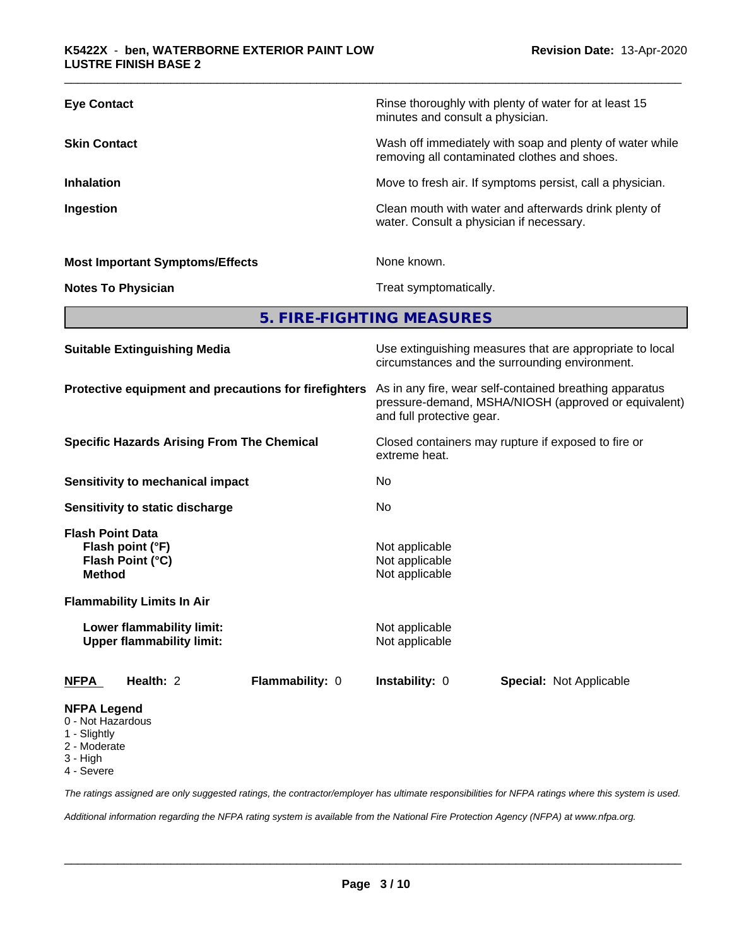| <b>Suitable Extinguishing Media</b>    | Use extinguishing measures that are appropriate to local<br>circumstances and the surrounding environment. |  |
|----------------------------------------|------------------------------------------------------------------------------------------------------------|--|
|                                        | 5. FIRE-FIGHTING MEASURES                                                                                  |  |
| <b>Notes To Physician</b>              | Treat symptomatically.                                                                                     |  |
| <b>Most Important Symptoms/Effects</b> | None known.                                                                                                |  |
| Ingestion                              | Clean mouth with water and afterwards drink plenty of<br>water. Consult a physician if necessary.          |  |
| <b>Inhalation</b>                      | Move to fresh air. If symptoms persist, call a physician.                                                  |  |
| <b>Skin Contact</b>                    | Wash off immediately with soap and plenty of water while<br>removing all contaminated clothes and shoes.   |  |
| <b>Eye Contact</b>                     | Rinse thoroughly with plenty of water for at least 15<br>minutes and consult a physician.                  |  |
|                                        |                                                                                                            |  |

**Protective equipment and precautions for firefighters** As in any fire, wear self-contained breathing apparatus pressure-demand, MSHA/NIOSH (approved or equivalent) and full protective gear.

extreme heat.

**Specific Hazards Arising From The Chemical** Closed containers may rupture ifexposed to fire or

**Sensitivity to mechanical impact** No

**Sensitivity to static discharge** No

**Flash Point Data Flash point (°F)**<br> **Flash Point (°C)**<br> **Flash Point (°C)**<br> **Not** applicable **Flash Point (°C) Method** Not applicable

**Flammability Limits In Air**

**Lower flammability limit:** Not applicable **Upper flammability limit:** Not applicable

**NFPA Health:** 2 **Flammability:** 0 **Instability:** 0 **Special:** Not Applicable

### **NFPA Legend**

- 0 Not Hazardous
- 1 Slightly
- 2 Moderate
- 3 High
- 4 Severe

*The ratings assigned are only suggested ratings, the contractor/employer has ultimate responsibilities for NFPA ratings where this system is used.*

*Additional information regarding the NFPA rating system is available from the National Fire Protection Agency (NFPA) at www.nfpa.org.*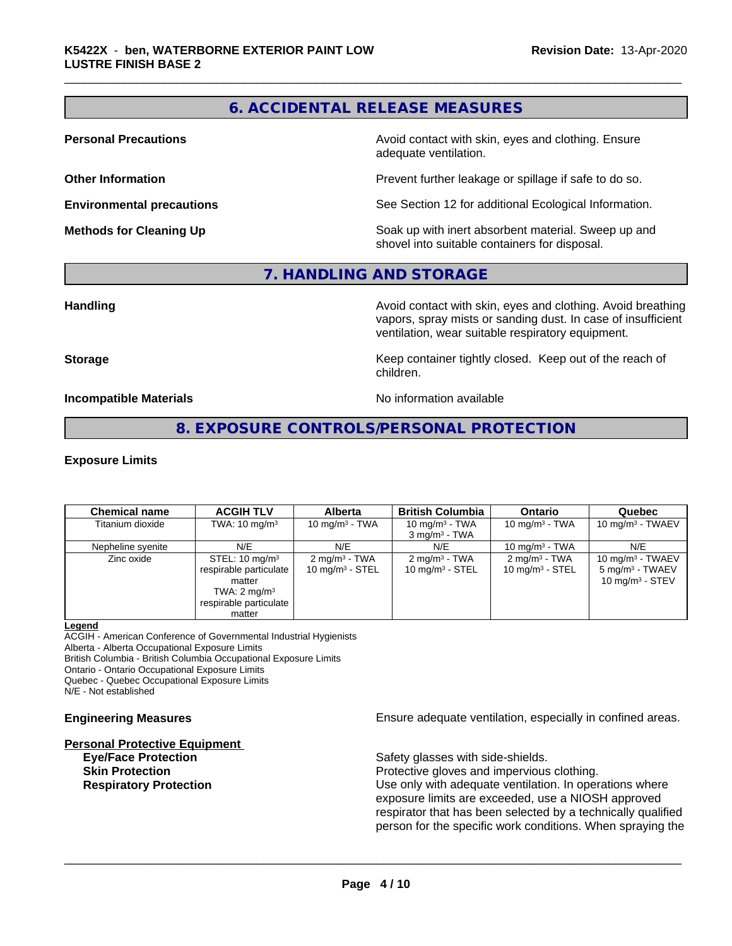## **6. ACCIDENTAL RELEASE MEASURES**

**Personal Precautions Avoid contact with skin, eyes and clothing. Ensure** Avoid contact with skin, eyes and clothing. Ensure adequate ventilation.

**Other Information Determines According to the Prevent further leakage or spillage if safe to do so.** 

**Environmental precautions** See Section 12 for additional Ecological Information.

**Methods for Cleaning Up Example 20 Soak** up with inert absorbent material. Sweep up and shovel into suitable containers for disposal.

### **7. HANDLING AND STORAGE**

**Handling Handling Avoid contact with skin, eyes and clothing. Avoid breathing** vapors, spray mists or sanding dust. In case of insufficient ventilation, wear suitable respiratory equipment.

**Storage Keep container tightly closed. Keep out of the reach of Keep** container tightly closed. Keep out of the reach of children.

**Incompatible Materials Incompatible Materials No information available** 

### **8. EXPOSURE CONTROLS/PERSONAL PROTECTION**

### **Exposure Limits**

| <b>Chemical name</b> | <b>ACGIH TLV</b>                                                                                                             | <b>Alberta</b>                               | <b>British Columbia</b>                       | <b>Ontario</b>                                | Quebec                                                                   |
|----------------------|------------------------------------------------------------------------------------------------------------------------------|----------------------------------------------|-----------------------------------------------|-----------------------------------------------|--------------------------------------------------------------------------|
| Titanium dioxide     | TWA: $10 \text{ mg/m}^3$                                                                                                     | 10 mg/m $3$ - TWA                            | 10 mg/m $3$ - TWA<br>$3 \text{ mg/m}^3$ - TWA | 10 mg/m $3$ - TWA                             | 10 mg/m $3$ - TWAEV                                                      |
| Nepheline syenite    | N/E                                                                                                                          | N/E                                          | N/E                                           | 10 mg/m $3$ - TWA                             | N/E                                                                      |
| Zinc oxide           | STEL: $10 \text{ mg/m}^3$<br>respirable particulate<br>matter<br>TWA: $2 \text{ mg/m}^3$<br>respirable particulate<br>matter | $2 \text{mq/m}^3$ - TWA<br>10 $mq/m3$ - STEL | $2 \text{ mg/m}^3$ - TWA<br>10 $mq/m3$ - STEL | $2 \text{ mg/m}^3$ - TWA<br>10 $mq/m3$ - STEL | 10 mg/m $3$ - TWAEV<br>5 mg/m <sup>3</sup> - TWAEV<br>10 mg/m $3 -$ STEV |

### **Legend**

ACGIH - American Conference of Governmental Industrial Hygienists

Alberta - Alberta Occupational Exposure Limits British Columbia - British Columbia Occupational Exposure Limits

Ontario - Ontario Occupational Exposure Limits

Quebec - Quebec Occupational Exposure Limits

N/E - Not established

### **Personal Protective Equipment**

**Engineering Measures Ensure** Ensure adequate ventilation, especially in confined areas.

**Eye/Face Protection** Safety glasses with side-shields.

 $\overline{\phantom{a}}$  ,  $\overline{\phantom{a}}$  ,  $\overline{\phantom{a}}$  ,  $\overline{\phantom{a}}$  ,  $\overline{\phantom{a}}$  ,  $\overline{\phantom{a}}$  ,  $\overline{\phantom{a}}$  ,  $\overline{\phantom{a}}$  ,  $\overline{\phantom{a}}$  ,  $\overline{\phantom{a}}$  ,  $\overline{\phantom{a}}$  ,  $\overline{\phantom{a}}$  ,  $\overline{\phantom{a}}$  ,  $\overline{\phantom{a}}$  ,  $\overline{\phantom{a}}$  ,  $\overline{\phantom{a}}$ 

**Skin Protection Protection Protective gloves and impervious clothing. Respiratory Protection Number 1** (Use only with adequate ventilation. In operations where exposure limits are exceeded, use a NIOSH approved respirator that has been selected by a technically qualified person for the specific work conditions. When spraying the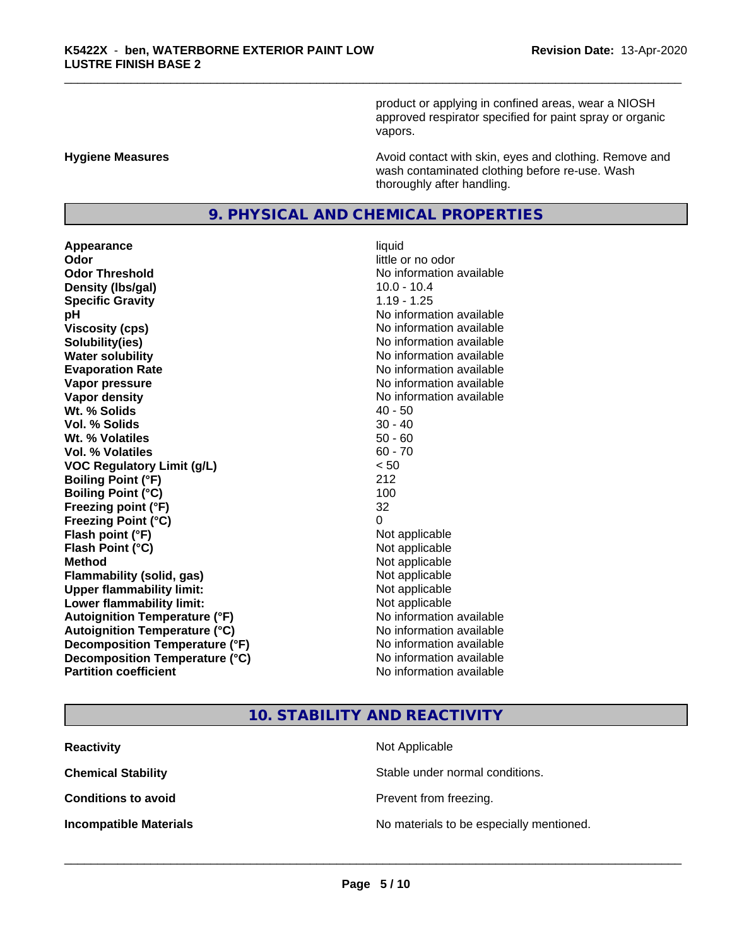product or applying in confined areas, wear a NIOSH approved respirator specified for paint spray or organic vapors.

**Hygiene Measures Avoid contact with skin, eyes and clothing. Remove and Avoid contact with skin, eyes and clothing. Remove and Avoid contact with skin, eyes and clothing. Remove and** wash contaminated clothing before re-use. Wash thoroughly after handling.

## **9. PHYSICAL AND CHEMICAL PROPERTIES**

**Appearance** liquid **Odor**<br> **Odor Threshold**<br> **Odor Threshold**<br> **CODOR**<br> **CODOR**<br> **CODOR**<br> **CODOR**<br> **CODOR**<br> **CODOR**<br> **CODOR**<br> **CODOR**<br> **CODOR**<br> **CODOR Density (Ibs/gal)** 10.0 - 10.4 **Specific Gravity** 1.19 - 1.25 **pH pH**  $\blacksquare$ **Viscosity (cps)** No information available **Solubility(ies)** No information available **Water solubility** No information available **Evaporation Rate No information available No information available Vapor pressure** No information available **Vapor density** No information available **Wt.** % Solids 40 - 50 **Vol. % Solids** 30 - 40 **Wt. % Volatiles** 50 - 60 **Vol. % Volatiles** 60 - 70 **VOC Regulatory Limit (g/L)** < 50 **Boiling Point (°F)** 212 **Boiling Point**  $(°C)$  100 **Freezing point (°F)** 32 **Freezing Point (°C)** 0 **Flash point (°F)**<br> **Flash Point (°C)**<br> **Flash Point (°C)**<br> **Not** applicable **Flash Point (°C) Method** Not applicable **Flammability (solid, gas)** Not applicable **Upper flammability limit:** Not applicable **Lower flammability limit:** Not applicable **Autoignition Temperature (°F)** No information available **Autoignition Temperature (°C)** No information available **Decomposition Temperature (°F)**<br> **Decomposition Temperature (°C)** No information available **Decomposition Temperature (°C) Partition coefficient Contract Contract Contract Contract Contract Contract Contract Contract Contract Contract Contract Contract Contract Contract Contract Contract Contract Contract Contract Contract Contract Contract** 

# **No information available**

### **10. STABILITY AND REACTIVITY**

| <b>Reactivity</b>             | Not Applicable                           |
|-------------------------------|------------------------------------------|
| <b>Chemical Stability</b>     | Stable under normal conditions.          |
| <b>Conditions to avoid</b>    | Prevent from freezing.                   |
| <b>Incompatible Materials</b> | No materials to be especially mentioned. |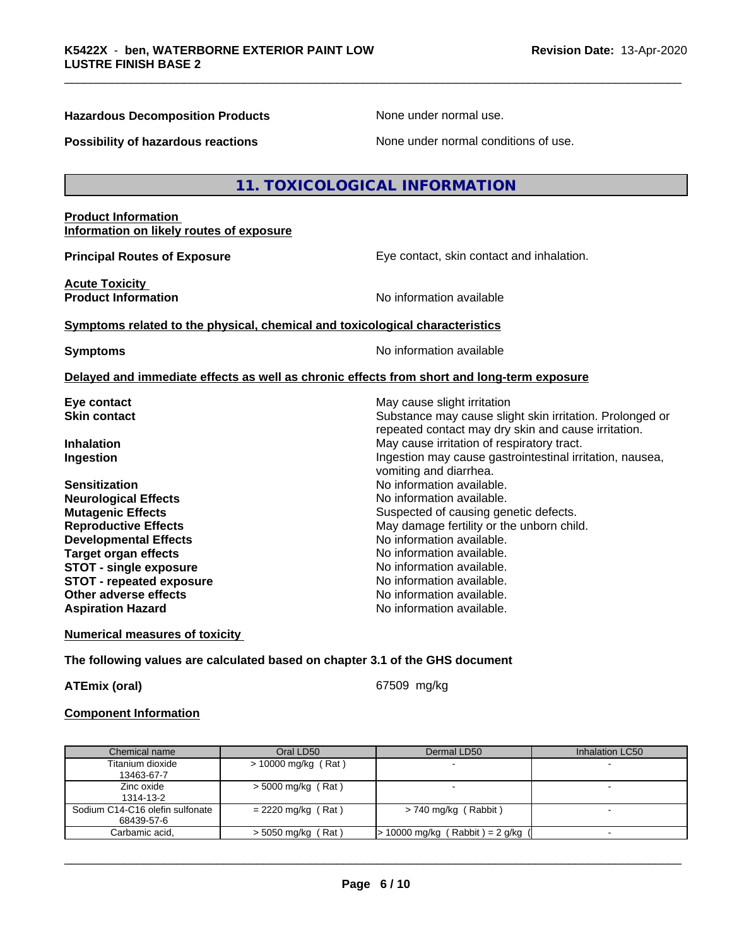### **Hazardous Decomposition Products** None under normal use.

**Possibility of hazardous reactions** None under normal conditions of use.

### **11. TOXICOLOGICAL INFORMATION**

### **Product Information Information on likely routes of exposure**

**Acute Toxicity** 

**Principal Routes of Exposure Exposure** Eye contact, skin contact and inhalation.

Substance may cause slight skin irritation. Prolonged or repeated contact may dry skin and cause irritation.

**Product Information Information No information available** 

### **Symptoms related to the physical,chemical and toxicological characteristics**

**Symptoms** No information available

vomiting and diarrhea.

### **Delayed and immediate effects as well as chronic effects from short and long-term exposure**

**Eye contact**<br> **Exercise Skin contact**<br> **Substance may cause slight irritation**<br> **Substance may cause slight in the Substance may cause slight irritation** 

**Inhalation** May cause irritation of respiratory tract. **Ingestion Ingestion Index is a linear in the line of the line of the line of the line of the line of the line of the line of the line of the line of the line of the line of the line of the line of the line of the line** 

**Sensitization No information available.** No information available. **Neurological Effects** Noinformation available. **Mutagenic Effects** Suspected of causing genetic defects. **Reproductive Effects** May damage fertility or the unborn child.<br> **Developmental Effects** Moinformation available. **Developmental Effects Target organ effects No information available.**<br> **STOT - single exposure No information available. STOT** - single exposure **STOT** - **repeated exposure** *CON* **EXPONDING EXPONDING MOVID MOVID MOVID MOVID MOVID MOVID MOVID MOVID MOVID MOVID MOVID MOVID MOVID MOVID MOVID MOVID MOVID MOVID MOVID MOVID MOVID MOVID MOVID MOVID MOVID MOVID MOVID MO Other adverse effects** No information available. **Aspiration Hazard No information available.** 

**Numerical measures of toxicity**

### **The following values are calculated based on chapter 3.1 of the GHS document**

**ATEmix (oral)** 67509 mg/kg

 $\overline{\phantom{a}}$  ,  $\overline{\phantom{a}}$  ,  $\overline{\phantom{a}}$  ,  $\overline{\phantom{a}}$  ,  $\overline{\phantom{a}}$  ,  $\overline{\phantom{a}}$  ,  $\overline{\phantom{a}}$  ,  $\overline{\phantom{a}}$  ,  $\overline{\phantom{a}}$  ,  $\overline{\phantom{a}}$  ,  $\overline{\phantom{a}}$  ,  $\overline{\phantom{a}}$  ,  $\overline{\phantom{a}}$  ,  $\overline{\phantom{a}}$  ,  $\overline{\phantom{a}}$  ,  $\overline{\phantom{a}}$ 

### **Component Information**

| Chemical name                   | Oral LD50            | Dermal LD50                         | Inhalation LC50 |
|---------------------------------|----------------------|-------------------------------------|-----------------|
| Titanium dioxide                | > 10000 mg/kg (Rat)  |                                     |                 |
| 13463-67-7                      |                      |                                     |                 |
| Zinc oxide                      | $>$ 5000 mg/kg (Rat) |                                     |                 |
| 1314-13-2                       |                      |                                     |                 |
| Sodium C14-C16 olefin sulfonate | $= 2220$ mg/kg (Rat) | $> 740$ mg/kg (Rabbit)              |                 |
| 68439-57-6                      |                      |                                     |                 |
| Carbamic acid.                  | $>$ 5050 mg/kg (Rat) | $> 10000$ mg/kg (Rabbit) = 2 g/kg ( |                 |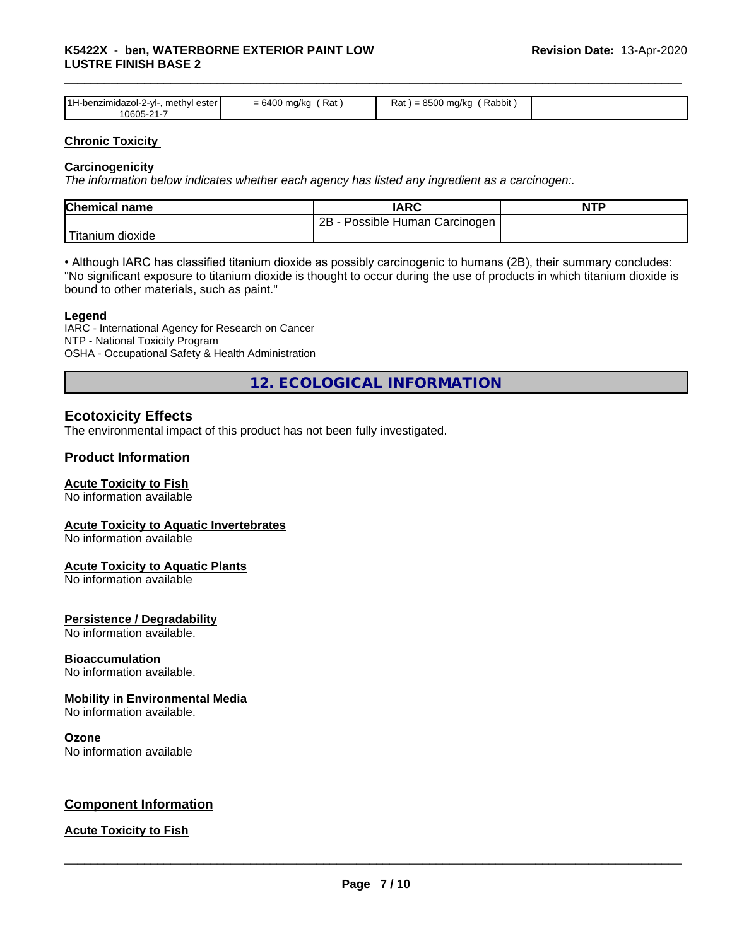| 1H-benzimiu.<br>ester<br>™ethvl .<br>dazol-2-vl-<br>0605-21-7 | Rat<br><u>— h</u><br>___ | 0.0000<br>Rat<br>mg/kc<br>Rabbit<br>. |  |
|---------------------------------------------------------------|--------------------------|---------------------------------------|--|

### **Chronic Toxicity**

### **Carcinogenicity**

*The information below indicateswhether each agency has listed any ingredient as a carcinogen:.*

| <b>Chemical name</b> | <b>IARC</b>                     | <b>NTP</b> |
|----------------------|---------------------------------|------------|
|                      | 2B<br>Possible Human Carcinogen |            |
| Titanium<br>dioxide  |                                 |            |

• Although IARC has classified titanium dioxide as possibly carcinogenic to humans (2B), their summary concludes: "No significant exposure to titanium dioxide is thought to occur during the use of products in which titanium dioxide is bound to other materials, such as paint."

### **Legend**

IARC - International Agency for Research on Cancer NTP - National Toxicity Program OSHA - Occupational Safety & Health Administration

**12. ECOLOGICAL INFORMATION**

### **Ecotoxicity Effects**

The environmental impact of this product has not been fully investigated.

### **Product Information**

### **Acute Toxicity to Fish**

No information available

### **Acute Toxicity to Aquatic Invertebrates**

No information available

### **Acute Toxicity to Aquatic Plants**

No information available

### **Persistence / Degradability**

No information available.

### **Bioaccumulation**

No information available.

### **Mobility in Environmental Media**

No information available.

### **Ozone**

No information available

### **Component Information**

### **Acute Toxicity to Fish**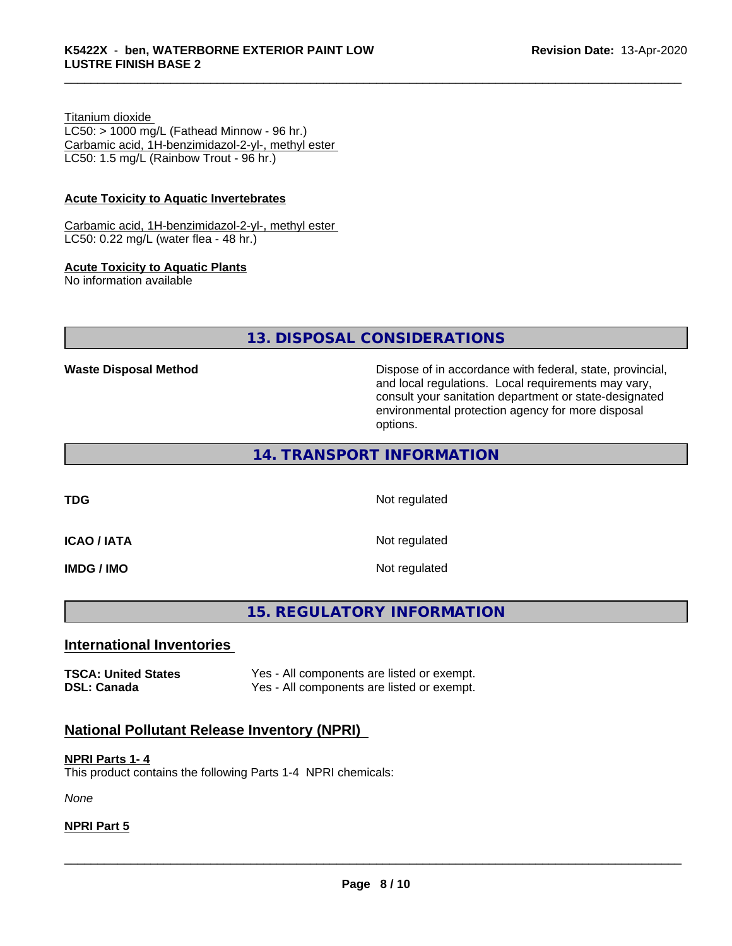### Titanium dioxide

 $LC50:$  > 1000 mg/L (Fathead Minnow - 96 hr.) Carbamic acid, 1H-benzimidazol-2-yl-, methyl ester LC50: 1.5 mg/L (Rainbow Trout - 96 hr.)

### **Acute Toxicity to Aquatic Invertebrates**

Carbamic acid, 1H-benzimidazol-2-yl-, methyl ester LC50: 0.22 mg/L (water flea - 48 hr.)

### **Acute Toxicity to Aquatic Plants**

No information available

**13. DISPOSAL CONSIDERATIONS**

**Waste Disposal Method Dispose of in accordance with federal, state, provincial,** and local regulations. Local requirements may vary, consult your sanitation department or state-designated environmental protection agency for more disposal options.

### **14. TRANSPORT INFORMATION**

**TDG** Not regulated

**ICAO / IATA** Not regulated

**IMDG / IMO** Not regulated

# **15. REGULATORY INFORMATION**

### **International Inventories**

**TSCA: United States** Yes - All components are listed or exempt. **DSL: Canada** Yes - All components are listed or exempt.

## **National Pollutant Release Inventory (NPRI)**

### **NPRI Parts 1- 4** This product contains the following Parts 1-4 NPRI chemicals:

*None*

### **NPRI Part 5**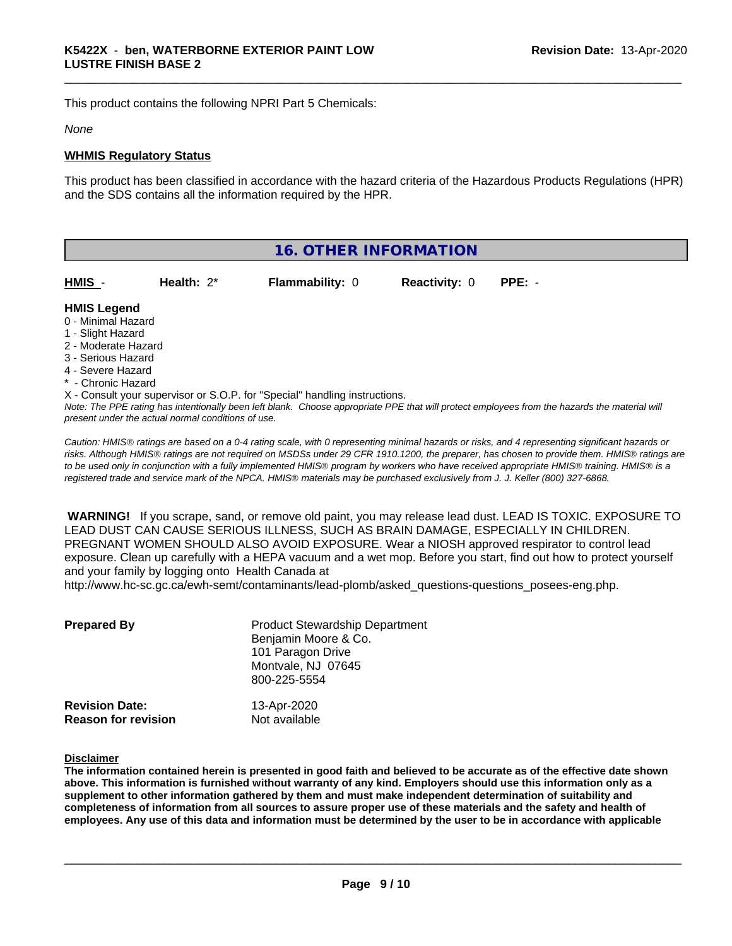This product contains the following NPRI Part 5 Chemicals:

### *None*

### **WHMIS Regulatory Status**

This product has been classified in accordance with the hazard criteria of the Hazardous Products Regulations (HPR) and the SDS contains all the information required by the HPR.

| 16. OTHER INFORMATION                                                                                                                                 |               |                                                                            |                      |                                                                                                                                               |
|-------------------------------------------------------------------------------------------------------------------------------------------------------|---------------|----------------------------------------------------------------------------|----------------------|-----------------------------------------------------------------------------------------------------------------------------------------------|
| HMIS -                                                                                                                                                | Health: $2^*$ | <b>Flammability: 0</b>                                                     | <b>Reactivity: 0</b> | $PPE: -$                                                                                                                                      |
| <b>HMIS Legend</b><br>0 - Minimal Hazard<br>1 - Slight Hazard<br>2 - Moderate Hazard<br>3 - Serious Hazard<br>4 - Severe Hazard<br>* - Chronic Hazard |               | X - Consult your supervisor or S.O.P. for "Special" handling instructions. |                      | Note: The PPE rating has intentionally been left blank. Choose appropriate PPE that will protect employees from the hazards the material will |

*Caution: HMISÒ ratings are based on a 0-4 rating scale, with 0 representing minimal hazards or risks, and 4 representing significant hazards or risks. Although HMISÒ ratings are not required on MSDSs under 29 CFR 1910.1200, the preparer, has chosen to provide them. HMISÒ ratings are to be used only in conjunction with a fully implemented HMISÒ program by workers who have received appropriate HMISÒ training. HMISÒ is a registered trade and service mark of the NPCA. HMISÒ materials may be purchased exclusively from J. J. Keller (800) 327-6868.*

 **WARNING!** If you scrape, sand, or remove old paint, you may release lead dust. LEAD IS TOXIC. EXPOSURE TO LEAD DUST CAN CAUSE SERIOUS ILLNESS, SUCH AS BRAIN DAMAGE, ESPECIALLY IN CHILDREN. PREGNANT WOMEN SHOULD ALSO AVOID EXPOSURE.Wear a NIOSH approved respirator to control lead exposure. Clean up carefully with a HEPA vacuum and a wet mop. Before you start, find out how to protect yourself and your family by logging onto Health Canada at

http://www.hc-sc.gc.ca/ewh-semt/contaminants/lead-plomb/asked\_questions-questions\_posees-eng.php.

| <b>Prepared By</b>         | <b>Product Stewardship Department</b><br>Benjamin Moore & Co.<br>101 Paragon Drive<br>Montvale, NJ 07645<br>800-225-5554 |
|----------------------------|--------------------------------------------------------------------------------------------------------------------------|
| <b>Revision Date:</b>      | 13-Apr-2020                                                                                                              |
| <b>Reason for revision</b> | Not available                                                                                                            |

### **Disclaimer**

The information contained herein is presented in good faith and believed to be accurate as of the effective date shown above. This information is furnished without warranty of any kind. Employers should use this information only as a **supplement to other information gathered by them and must make independent determination of suitability and** completeness of information from all sources to assure proper use of these materials and the safety and health of employees. Any use of this data and information must be determined by the user to be in accordance with applicable